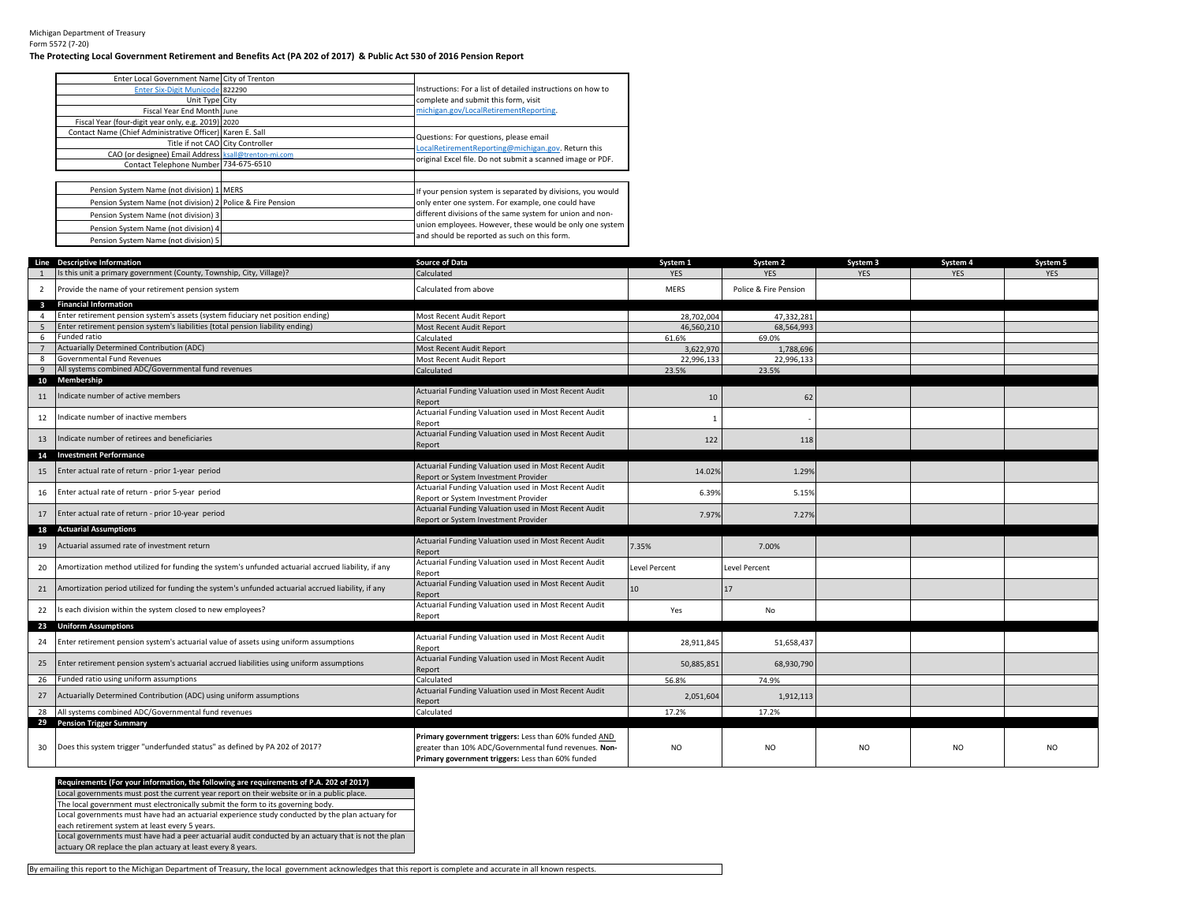Michigan Department of Treasury Form 5572 (7-20)

## **The Protecting Local Government Retirement and Benefits Act (PA 202 of 2017) & Public Act 530 of 2016 Pension Report**

| Enter Local Government Name City of Trenton                |                                                             |
|------------------------------------------------------------|-------------------------------------------------------------|
| Enter Six-Digit Municode 822290                            | Instructions: For a list of detailed instructions on how to |
| Unit Type City                                             | complete and submit this form, visit                        |
| Fiscal Year End Month June                                 | michigan.gov/LocalRetirementReporting.                      |
| Fiscal Year (four-digit year only, e.g. 2019) 2020         |                                                             |
| Contact Name (Chief Administrative Officer) Karen E. Sall  | Questions: For questions, please email                      |
| Title if not CAO City Controller                           | LocalRetirementReporting@michigan.gov. Return this          |
| CAO (or designee) Email Address ksall@trenton-mi.com       |                                                             |
| Contact Telephone Number 734-675-6510                      | original Excel file. Do not submit a scanned image or PDF.  |
|                                                            |                                                             |
| Pension System Name (not division) 1 MERS                  | If your pension system is separated by divisions, you would |
| Pension System Name (not division) 2 Police & Fire Pension | only enter one system. For example, one could have          |
| Pension System Name (not division) 3                       | different divisions of the same system for union and non-   |
| Pension System Name (not division) 4                       | union employees. However, these would be only one system    |
| Pension System Name (not division) 5                       | and should be reported as such on this form.                |

|                 | Line Descriptive Information                                                                       | <b>Source of Data</b>                                                                                                                                               | System 1      | System 2              | System 3       | System 4   | System 5   |
|-----------------|----------------------------------------------------------------------------------------------------|---------------------------------------------------------------------------------------------------------------------------------------------------------------------|---------------|-----------------------|----------------|------------|------------|
|                 | Is this unit a primary government (County, Township, City, Village)?                               | Calculated                                                                                                                                                          | <b>YES</b>    | <b>YES</b>            | <b>YES</b>     | <b>YES</b> | <b>YES</b> |
| $\overline{2}$  | Provide the name of your retirement pension system                                                 | Calculated from above                                                                                                                                               | <b>MERS</b>   | Police & Fire Pension |                |            |            |
| $\mathbf{3}$    | <b>Financial Information</b>                                                                       |                                                                                                                                                                     |               |                       |                |            |            |
| Δ               | Enter retirement pension system's assets (system fiduciary net position ending)                    | Most Recent Audit Report                                                                                                                                            | 28.702.004    | 47,332,281            |                |            |            |
|                 | Enter retirement pension system's liabilities (total pension liability ending)                     | Most Recent Audit Report                                                                                                                                            | 46.560.210    | 68.564.993            |                |            |            |
| 6               | Funded ratio                                                                                       | Calculated                                                                                                                                                          | 61.6%         | 69.0%                 |                |            |            |
| $7\overline{ }$ | Actuarially Determined Contribution (ADC)                                                          | Most Recent Audit Report                                                                                                                                            | 3,622,970     | 1.788.696             |                |            |            |
| 8               | Governmental Fund Revenues                                                                         | Most Recent Audit Report                                                                                                                                            | 22,996,133    | 22,996,133            |                |            |            |
| 9               | All systems combined ADC/Governmental fund revenues                                                | Calculated                                                                                                                                                          | 23.5%         | 23.5%                 |                |            |            |
| 11              | 10 Membership<br>Indicate number of active members                                                 | Actuarial Funding Valuation used in Most Recent Audit<br>Report                                                                                                     | 10            | 62                    |                |            |            |
| 12              | Indicate number of inactive members                                                                | Actuarial Funding Valuation used in Most Recent Audit<br>Report                                                                                                     | $\mathbf{1}$  |                       |                |            |            |
| 13              | Indicate number of retirees and beneficiaries                                                      | Actuarial Funding Valuation used in Most Recent Audit<br>Report                                                                                                     | 122           | 118                   |                |            |            |
|                 | 14 Investment Performance                                                                          |                                                                                                                                                                     |               |                       |                |            |            |
| 15              | Enter actual rate of return - prior 1-year period                                                  | Actuarial Funding Valuation used in Most Recent Audit                                                                                                               | 14.02%        | 1.29%                 |                |            |            |
|                 |                                                                                                    | Report or System Investment Provider                                                                                                                                |               |                       |                |            |            |
| 16              | Enter actual rate of return - prior 5-year period                                                  | Actuarial Funding Valuation used in Most Recent Audit                                                                                                               | 6.39%         | 5.15%                 |                |            |            |
|                 |                                                                                                    | Report or System Investment Provider                                                                                                                                |               |                       |                |            |            |
|                 | 17 Enter actual rate of return - prior 10-year period                                              | Actuarial Funding Valuation used in Most Recent Audit                                                                                                               | 7.97%         | 7.27%                 |                |            |            |
|                 | 18 Actuarial Assumptions                                                                           | Report or System Investment Provider                                                                                                                                |               |                       |                |            |            |
|                 |                                                                                                    | Actuarial Funding Valuation used in Most Recent Audit                                                                                                               |               |                       |                |            |            |
| 19              | Actuarial assumed rate of investment return                                                        | Report                                                                                                                                                              | 7.35%         | 7.00%                 |                |            |            |
| 20              | Amortization method utilized for funding the system's unfunded actuarial accrued liability, if any | Actuarial Funding Valuation used in Most Recent Audit<br>Report                                                                                                     | Level Percent | <b>Level Percent</b>  |                |            |            |
| 21              | Amortization period utilized for funding the system's unfunded actuarial accrued liability, if any | Actuarial Funding Valuation used in Most Recent Audit<br>Report                                                                                                     | 10            | 17                    |                |            |            |
| 22              | Is each division within the system closed to new employees?                                        | Actuarial Funding Valuation used in Most Recent Audit<br>Report                                                                                                     | Yes           | No                    |                |            |            |
|                 | 23 Uniform Assumptions                                                                             |                                                                                                                                                                     |               |                       |                |            |            |
| 24              | Enter retirement pension system's actuarial value of assets using uniform assumptions              | Actuarial Funding Valuation used in Most Recent Audit<br>Report                                                                                                     | 28,911,845    | 51,658,437            |                |            |            |
| 25              | Enter retirement pension system's actuarial accrued liabilities using uniform assumptions          | Actuarial Funding Valuation used in Most Recent Audit<br>Report                                                                                                     | 50,885,851    | 68,930,790            |                |            |            |
| 26              | Funded ratio using uniform assumptions                                                             | Calculated                                                                                                                                                          | 56.8%         | 74.9%                 |                |            |            |
|                 | 27 Actuarially Determined Contribution (ADC) using uniform assumptions                             | Actuarial Funding Valuation used in Most Recent Audit<br>Report                                                                                                     | 2,051,604     | 1,912,113             |                |            |            |
|                 | 28 All systems combined ADC/Governmental fund revenues                                             | Calculated                                                                                                                                                          | 17.2%         | 17.2%                 |                |            |            |
|                 | 29 Pension Trigger Summary                                                                         |                                                                                                                                                                     |               |                       |                |            |            |
| 30              | Does this system trigger "underfunded status" as defined by PA 202 of 2017?                        | Primary government triggers: Less than 60% funded AND<br>greater than 10% ADC/Governmental fund revenues. Non-<br>Primary government triggers: Less than 60% funded | <b>NO</b>     | N <sub>O</sub>        | N <sub>O</sub> | NO         | NO         |

Local governments must post the current year report on their website or in a public place. Local governments must have had an actuarial experience study conducted by the plan actuary for each retirement system at least every 5 years. The local government must electronically submit the form to its governing body. Local governments must have had a peer actuarial audit conducted by an actuary that is not the plan **Requirements (For your information, the following are requirements of P.A. 202 of 2017)**

actuary OR replace the plan actuary at least every 8 years.

By emailing this report to the Michigan Department of Treasury, the local government acknowledges that this report is complete and accurate in all known respects.